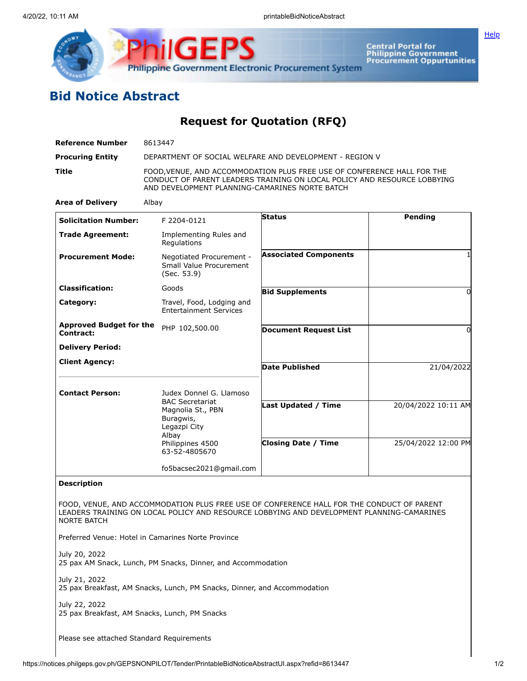

**Central Portal for<br>Philippine Government<br>Procurement Oppurtunities** 

**[Help](javascript:void(window.open()** 

## **Bid Notice Abstract**

**Request for Quotation (RFQ)**

| <b>Reference Number</b>                                                       | 8613447                                                                                                                                                                                               |                              |                     |  |
|-------------------------------------------------------------------------------|-------------------------------------------------------------------------------------------------------------------------------------------------------------------------------------------------------|------------------------------|---------------------|--|
| <b>Procuring Entity</b>                                                       | DEPARTMENT OF SOCIAL WELFARE AND DEVELOPMENT - REGION V                                                                                                                                               |                              |                     |  |
| Title                                                                         | FOOD, VENUE, AND ACCOMMODATION PLUS FREE USE OF CONFERENCE HALL FOR THE<br>CONDUCT OF PARENT LEADERS TRAINING ON LOCAL POLICY AND RESOURCE LOBBYING<br>AND DEVELOPMENT PLANNING-CAMARINES NORTE BATCH |                              |                     |  |
| <b>Area of Delivery</b>                                                       | Albay                                                                                                                                                                                                 |                              |                     |  |
| <b>Solicitation Number:</b>                                                   | F 2204-0121                                                                                                                                                                                           | Status                       | Pending             |  |
| <b>Trade Agreement:</b>                                                       | Implementing Rules and<br>Regulations                                                                                                                                                                 |                              |                     |  |
| <b>Procurement Mode:</b>                                                      | Negotiated Procurement -<br>Small Value Procurement<br>(Sec. 53.9)                                                                                                                                    | <b>Associated Components</b> |                     |  |
| <b>Classification:</b>                                                        | Goods                                                                                                                                                                                                 | <b>Bid Supplements</b>       | 0                   |  |
| Category:                                                                     | Travel, Food, Lodging and<br><b>Entertainment Services</b>                                                                                                                                            |                              |                     |  |
| <b>Approved Budget for the</b><br>Contract:                                   | PHP 102,500.00                                                                                                                                                                                        | <b>Document Request List</b> | 0                   |  |
| <b>Delivery Period:</b>                                                       |                                                                                                                                                                                                       |                              |                     |  |
| <b>Client Agency:</b>                                                         |                                                                                                                                                                                                       | <b>Date Published</b>        | 21/04/2022          |  |
|                                                                               |                                                                                                                                                                                                       |                              |                     |  |
| <b>Contact Person:</b>                                                        | Judex Donnel G. Llamoso<br><b>BAC Secretariat</b>                                                                                                                                                     |                              |                     |  |
|                                                                               | Magnolia St., PBN<br>Buragwis,<br>Legazpi City                                                                                                                                                        | Last Updated / Time          | 20/04/2022 10:11 AM |  |
|                                                                               | Albay<br>Philippines 4500<br>63-52-4805670                                                                                                                                                            | <b>Closing Date / Time</b>   | 25/04/2022 12:00 PM |  |
|                                                                               | fo5bacsec2021@gmail.com                                                                                                                                                                               |                              |                     |  |
| <b>Description</b>                                                            |                                                                                                                                                                                                       |                              |                     |  |
| <b>NORTE BATCH</b>                                                            | FOOD, VENUE, AND ACCOMMODATION PLUS FREE USE OF CONFERENCE HALL FOR THE CONDUCT OF PARENT<br>LEADERS TRAINING ON LOCAL POLICY AND RESOURCE LOBBYING AND DEVELOPMENT PLANNING-CAMARINES                |                              |                     |  |
|                                                                               | Preferred Venue: Hotel in Camarines Norte Province                                                                                                                                                    |                              |                     |  |
| July 20, 2022<br>25 pax AM Snack, Lunch, PM Snacks, Dinner, and Accommodation |                                                                                                                                                                                                       |                              |                     |  |
| July 21, 2022                                                                 | 25 pax Breakfast, AM Snacks, Lunch, PM Snacks, Dinner, and Accommodation                                                                                                                              |                              |                     |  |
| July 22, 2022                                                                 | 25 pax Breakfast, AM Snacks, Lunch, PM Snacks                                                                                                                                                         |                              |                     |  |

Please see attached Standard Requirements